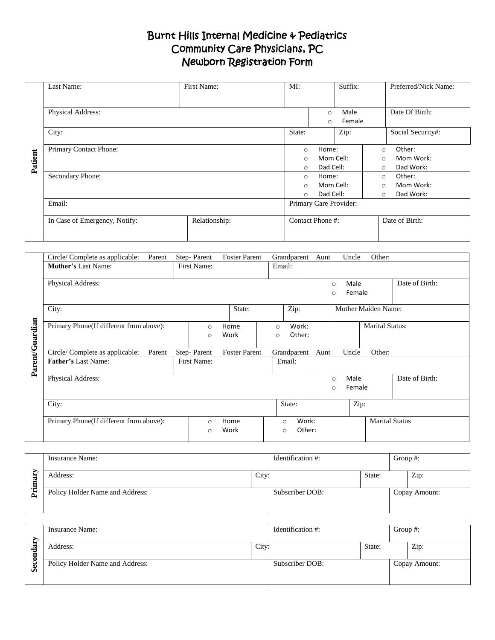# Burnt Hills Internal Medicine & Pediatrics Community Care Physicians, PC Newborn Registration Form

|         | Last Name:                    | First Name:   | MI:                    |                                      | Suffix: |                | Preferred/Nick Name: |  |
|---------|-------------------------------|---------------|------------------------|--------------------------------------|---------|----------------|----------------------|--|
|         |                               |               |                        |                                      |         |                |                      |  |
|         | Physical Address:             |               |                        | Male<br>$\circ$<br>Female<br>$\circ$ |         |                | Date Of Birth:       |  |
|         |                               |               |                        |                                      |         |                |                      |  |
|         | City:                         |               |                        |                                      | Zip:    |                | Social Security#:    |  |
|         | Primary Contact Phone:        |               | $\circ$                | Home:                                |         | $\circ$        | Other:               |  |
|         |                               |               | Mom Cell:<br>$\circ$   |                                      | $\circ$ |                | Mom Work:            |  |
| Patient |                               |               |                        | Dad Cell:<br>$\circ$                 |         | $\circ$        | Dad Work:            |  |
|         | Secondary Phone:              |               | $\circ$                | Home:                                |         | $\circ$        | Other:               |  |
|         |                               |               |                        | Mom Cell:<br>$\circ$                 |         | $\circ$        | Mom Work:            |  |
|         |                               |               |                        | Dad Cell:<br>$\Omega$                |         | $\circ$        | Dad Work:            |  |
|         | Email:                        |               | Primary Care Provider: |                                      |         |                |                      |  |
|         | In Case of Emergency, Notify: | Relationship: | Contact Phone #:       |                                      |         | Date of Birth: |                      |  |
|         |                               |               |                        |                                      |         |                |                      |  |

|                 | Circle/Complete as applicable:<br>Parent | Step-Parent        | <b>Foster Parent</b> | Grandparent                            | Uncle<br>Other:<br>Aunt              |                       |
|-----------------|------------------------------------------|--------------------|----------------------|----------------------------------------|--------------------------------------|-----------------------|
|                 | <b>Mother's Last Name:</b>               | First Name:        |                      | Email:                                 |                                      |                       |
|                 | Physical Address:                        |                    |                      |                                        | Male<br>$\circ$<br>Female<br>$\circ$ | Date of Birth:        |
|                 | City:                                    |                    | State:               | Zip:                                   | <b>Mother Maiden Name:</b>           |                       |
| Parent/Guardian | Primary Phone(If different from above):  | $\circ$<br>$\circ$ | Home<br>Work         | Work:<br>$\Omega$<br>Other:<br>$\circ$ | <b>Marital Status:</b>               |                       |
|                 | Circle/Complete as applicable:<br>Parent | Step-Parent        | <b>Foster Parent</b> | Grandparent                            | Other:<br>Uncle<br>Aunt              |                       |
|                 | <b>Father's Last Name:</b>               | First Name:        |                      | Email:                                 |                                      |                       |
|                 | Physical Address:                        |                    |                      |                                        | Male<br>$\circ$<br>Female<br>$\circ$ | Date of Birth:        |
|                 | City:                                    |                    |                      | State:                                 | Zip:                                 |                       |
|                 | Primary Phone(If different from above):  | $\circ$<br>$\circ$ | Home<br>Work         | Work:<br>$\circ$<br>Other:<br>$\circ$  |                                      | <b>Marital Status</b> |

|        | Insurance Name:                 |  | Identification #: |        |  | Group $#$ :   |
|--------|---------------------------------|--|-------------------|--------|--|---------------|
| ᡄ<br>⊏ | City:<br>Address:               |  |                   | State: |  | Zip:          |
| ≕.     | Policy Holder Name and Address: |  | Subscriber DOB:   |        |  | Copay Amount: |

|         | Insurance Name:                 |       | Identification #: |        |  | Group $#$ :   |  |
|---------|---------------------------------|-------|-------------------|--------|--|---------------|--|
| −       | Address:                        | City: |                   | State: |  | Zip:          |  |
| đ.<br>Ō | Policy Holder Name and Address: |       | Subscriber DOB:   |        |  | Copay Amount: |  |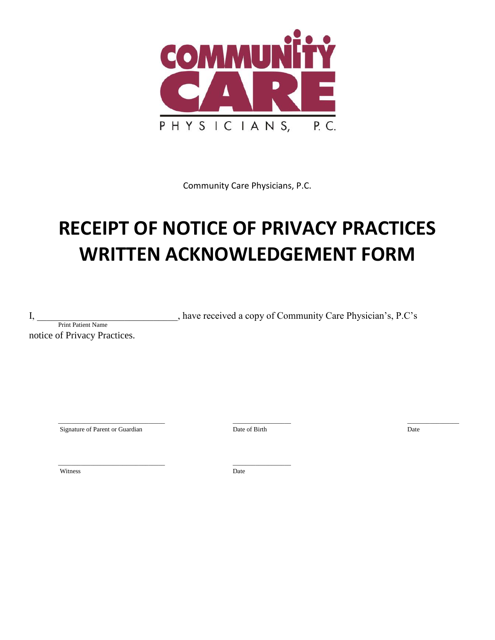

Community Care Physicians, P.C.

# **RECEIPT OF NOTICE OF PRIVACY PRACTICES WRITTEN ACKNOWLEDGEMENT FORM**

I, \_\_\_\_\_\_\_\_\_\_\_\_\_\_\_\_\_\_\_\_\_\_\_\_\_\_\_\_\_, have received a copy of Community Care Physician's, P.C's

Print Patient Name notice of Privacy Practices.

Signature of Parent or Guardian Date of Birth Date of Birth Date of Birth Date

\_\_\_\_\_\_\_\_\_\_\_\_\_\_\_\_\_\_\_\_\_\_\_\_\_\_\_\_\_\_\_\_\_ \_\_\_\_\_\_\_\_\_\_\_\_\_\_\_\_\_\_ \_\_\_\_\_\_\_\_\_\_\_\_\_\_\_\_

Witness Date

\_\_\_\_\_\_\_\_\_\_\_\_\_\_\_\_\_\_\_\_\_\_\_\_\_\_\_\_\_\_\_\_\_ \_\_\_\_\_\_\_\_\_\_\_\_\_\_\_\_\_\_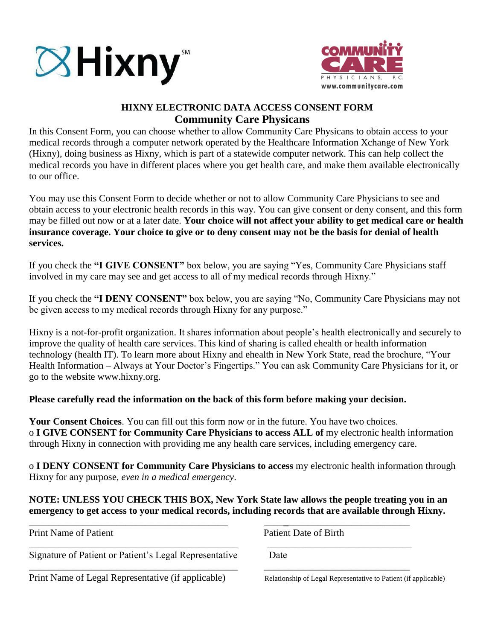



## **HIXNY ELECTRONIC DATA ACCESS CONSENT FORM Community Care Physicans**

In this Consent Form, you can choose whether to allow Community Care Physicans to obtain access to your medical records through a computer network operated by the Healthcare Information Xchange of New York (Hixny), doing business as Hixny, which is part of a statewide computer network. This can help collect the medical records you have in different places where you get health care, and make them available electronically to our office.

You may use this Consent Form to decide whether or not to allow Community Care Physicians to see and obtain access to your electronic health records in this way. You can give consent or deny consent, and this form may be filled out now or at a later date. **Your choice will not affect your ability to get medical care or health insurance coverage. Your choice to give or to deny consent may not be the basis for denial of health services.** 

If you check the **"I GIVE CONSENT"** box below, you are saying "Yes, Community Care Physicians staff involved in my care may see and get access to all of my medical records through Hixny."

If you check the **"I DENY CONSENT"** box below, you are saying "No, Community Care Physicians may not be given access to my medical records through Hixny for any purpose."

Hixny is a not-for-profit organization. It shares information about people's health electronically and securely to improve the quality of health care services. This kind of sharing is called ehealth or health information technology (health IT). To learn more about Hixny and ehealth in New York State, read the brochure, "Your Health Information – Always at Your Doctor's Fingertips." You can ask Community Care Physicians for it, or go to the website www.hixny.org.

### **Please carefully read the information on the back of this form before making your decision.**

**Your Consent Choices**. You can fill out this form now or in the future. You have two choices. o **I GIVE CONSENT for Community Care Physicians to access ALL of** my electronic health information through Hixny in connection with providing me any health care services, including emergency care.

o **I DENY CONSENT for Community Care Physicians to access** my electronic health information through Hixny for any purpose, *even in a medical emergency*.

### **NOTE: UNLESS YOU CHECK THIS BOX, New York State law allows the people treating you in an emergency to get access to your medical records, including records that are available through Hixny.**

\_\_\_\_\_\_\_\_\_\_\_\_\_\_\_\_\_\_\_\_\_\_\_\_\_\_\_\_\_\_\_\_\_\_\_\_\_\_\_\_\_ \_\_\_\_**\_**\_\_\_\_\_\_\_\_\_\_\_\_\_\_\_\_\_\_\_\_\_\_\_\_\_

\_\_\_\_\_\_\_\_\_\_\_\_\_\_\_\_\_\_\_\_\_\_\_\_\_\_\_\_\_\_\_\_\_\_\_\_\_\_\_\_\_\_\_ \_\_\_\_\_\_\_\_\_\_\_\_\_\_\_\_\_\_\_\_\_\_\_\_\_\_\_\_\_\_

Print Name of Patient Patient Patient Date of Birth

\_\_\_\_\_\_\_\_\_\_\_\_\_\_\_\_\_\_\_\_\_\_\_\_\_\_\_\_\_\_\_\_\_\_\_\_\_\_\_\_\_\_\_ \_\_\_\_\_\_\_\_\_\_\_\_\_\_\_\_\_\_\_\_\_\_\_\_\_\_\_\_\_\_ Signature of Patient or Patient's Legal Representative Date

Print Name of Legal Representative (if applicable) Relationship of Legal Representative to Patient (if applicable)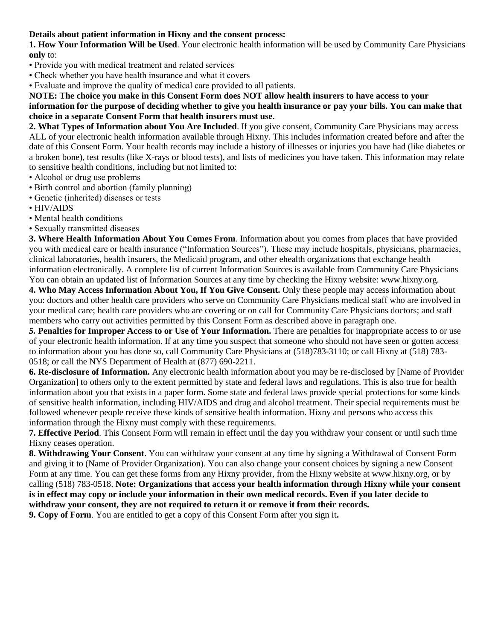#### **Details about patient information in Hixny and the consent process:**

**1. How Your Information Will be Used**. Your electronic health information will be used by Community Care Physicians **only** to:

- Provide you with medical treatment and related services
- Check whether you have health insurance and what it covers
- Evaluate and improve the quality of medical care provided to all patients.

#### **NOTE: The choice you make in this Consent Form does NOT allow health insurers to have access to your information for the purpose of deciding whether to give you health insurance or pay your bills. You can make that choice in a separate Consent Form that health insurers must use.**

**2. What Types of Information about You Are Included**. If you give consent, Community Care Physicians may access ALL of your electronic health information available through Hixny. This includes information created before and after the date of this Consent Form. Your health records may include a history of illnesses or injuries you have had (like diabetes or a broken bone), test results (like X-rays or blood tests), and lists of medicines you have taken. This information may relate to sensitive health conditions, including but not limited to:

- Alcohol or drug use problems
- Birth control and abortion (family planning)
- Genetic (inherited) diseases or tests
- HIV/AIDS
- Mental health conditions
- Sexually transmitted diseases

**3. Where Health Information About You Comes From**. Information about you comes from places that have provided you with medical care or health insurance ("Information Sources"). These may include hospitals, physicians, pharmacies, clinical laboratories, health insurers, the Medicaid program, and other ehealth organizations that exchange health information electronically. A complete list of current Information Sources is available from Community Care Physicians You can obtain an updated list of Information Sources at any time by checking the Hixny website: www.hixny.org.

**4. Who May Access Information About You, If You Give Consent.** Only these people may access information about you: doctors and other health care providers who serve on Community Care Physicians medical staff who are involved in your medical care; health care providers who are covering or on call for Community Care Physicians doctors; and staff members who carry out activities permitted by this Consent Form as described above in paragraph one.

*5.* **Penalties for Improper Access to or Use of Your Information.** There are penalties for inappropriate access to or use of your electronic health information. If at any time you suspect that someone who should not have seen or gotten access to information about you has done so, call Community Care Physicians at (518)783-3110; or call Hixny at (518) 783- 0518; or call the NYS Department of Health at (877) 690-2211.

**6. Re-disclosure of Information.** Any electronic health information about you may be re-disclosed by [Name of Provider Organization] to others only to the extent permitted by state and federal laws and regulations. This is also true for health information about you that exists in a paper form. Some state and federal laws provide special protections for some kinds of sensitive health information, including HIV/AIDS and drug and alcohol treatment. Their special requirements must be followed whenever people receive these kinds of sensitive health information. Hixny and persons who access this information through the Hixny must comply with these requirements.

**7. Effective Period**. This Consent Form will remain in effect until the day you withdraw your consent or until such time Hixny ceases operation.

**8. Withdrawing Your Consent**. You can withdraw your consent at any time by signing a Withdrawal of Consent Form and giving it to (Name of Provider Organization). You can also change your consent choices by signing a new Consent Form at any time. You can get these forms from any Hixny provider, from the Hixny website at www.hixny.org, or by calling (518) 783-0518. **Note: Organizations that access your health information through Hixny while your consent is in effect may copy or include your information in their own medical records. Even if you later decide to withdraw your consent, they are not required to return it or remove it from their records.** 

**9. Copy of Form**. You are entitled to get a copy of this Consent Form after you sign it**.**